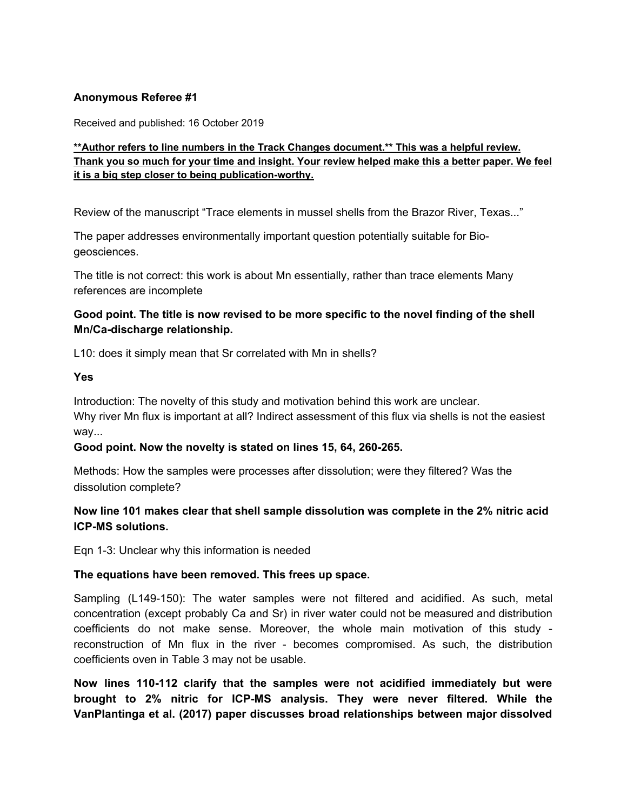#### **Anonymous Referee #1**

Received and published: 16 October 2019

### **\*\*Author refers to line numbers in the Track Changes document.\*\* This was a helpful review.** Thank you so much for your time and insight. Your review helped make this a better paper. We feel **it is a big step closer to being publication-worthy.**

Review of the manuscript "Trace elements in mussel shells from the Brazor River, Texas..."

The paper addresses environmentally important question potentially suitable for Biogeosciences.

The title is not correct: this work is about Mn essentially, rather than trace elements Many references are incomplete

# **Good point. The title is now revised to be more specific to the novel finding of the shell Mn/Ca-discharge relationship.**

L10: does it simply mean that Sr correlated with Mn in shells?

#### **Yes**

Introduction: The novelty of this study and motivation behind this work are unclear. Why river Mn flux is important at all? Indirect assessment of this flux via shells is not the easiest way...

#### **Good point. Now the novelty is stated on lines 15, 64, 260-265.**

Methods: How the samples were processes after dissolution; were they filtered? Was the dissolution complete?

# **Now line 101 makes clear that shell sample dissolution was complete in the 2% nitric acid ICP-MS solutions.**

Eqn 1-3: Unclear why this information is needed

#### **The equations have been removed. This frees up space.**

Sampling (L149-150): The water samples were not filtered and acidified. As such, metal concentration (except probably Ca and Sr) in river water could not be measured and distribution coefficients do not make sense. Moreover, the whole main motivation of this study reconstruction of Mn flux in the river - becomes compromised. As such, the distribution coefficients oven in Table 3 may not be usable.

**Now lines 110-112 clarify that the samples were not acidified immediately but were brought to 2% nitric for ICP-MS analysis. They were never filtered. While the VanPlantinga et al. (2017) paper discusses broad relationships between major dissolved**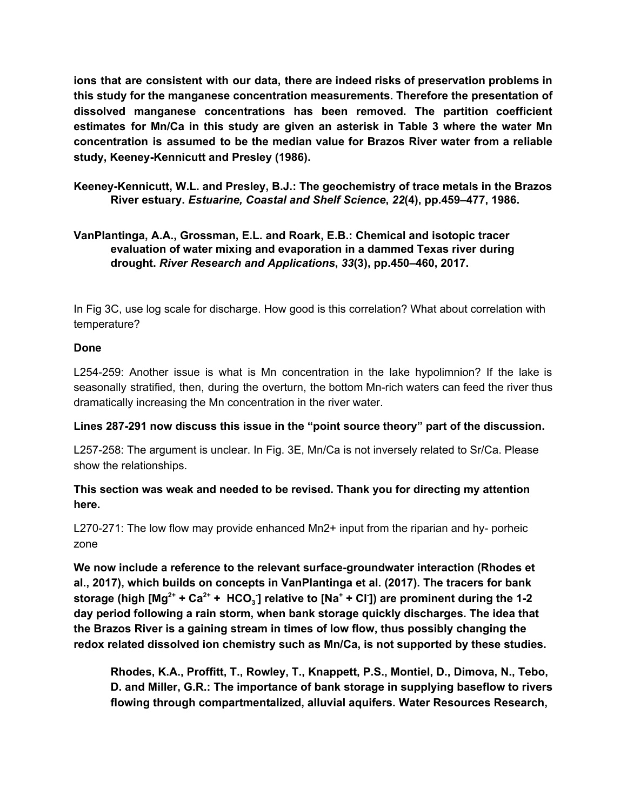**ions that are consistent with our data, there are indeed risks of preservation problems in this study for the manganese concentration measurements. Therefore the presentation of dissolved manganese concentrations has been removed. The partition coefficient estimates for Mn/Ca in this study are given an asterisk in Table 3 where the water Mn concentration is assumed to be the median value for Brazos River water from a reliable study, Keeney-Kennicutt and Presley (1986).**

**Keeney-Kennicutt, W.L. and Presley, B.J.: The geochemistry of trace metals in the Brazos River estuary.** *Estuarine, Coastal and Shelf Science***,** *22***(4), pp.459–477, 1986.**

# **VanPlantinga, A.A., Grossman, E.L. and Roark, E.B.: Chemical and isotopic tracer evaluation of water mixing and evaporation in a dammed Texas river during drought.** *River Research and Applications***,** *33***(3), pp.450–460, 2017.**

In Fig 3C, use log scale for discharge. How good is this correlation? What about correlation with temperature?

### **Done**

L254-259: Another issue is what is Mn concentration in the lake hypolimnion? If the lake is seasonally stratified, then, during the overturn, the bottom Mn-rich waters can feed the river thus dramatically increasing the Mn concentration in the river water.

# **Lines 287-291 now discuss this issue in the "point source theory" part of the discussion.**

L257-258: The argument is unclear. In Fig. 3E, Mn/Ca is not inversely related to Sr/Ca. Please show the relationships.

# **This section was weak and needed to be revised. Thank you for directing my attention here.**

L270-271: The low flow may provide enhanced Mn2+ input from the riparian and hy- porheic zone

**We now include a reference to the relevant surface-groundwater interaction (Rhodes et al., 2017), which builds on concepts in VanPlantinga et al. (2017). The tracers for bank** storage (high [Mg $^{2+}$  + Ca $^{2+}$  +  $\rm{HCO}_{3}$ ] relative to [Na $^{+}$  + Cl<sup>-</sup>]) are prominent during the 1-2 **day period following a rain storm, when bank storage quickly discharges. The idea that the Brazos River is a gaining stream in times of low flow, thus possibly changing the redox related dissolved ion chemistry such as Mn/Ca, is not supported by these studies.**

**Rhodes, K.A., Proffitt, T., Rowley, T., Knappett, P.S., Montiel, D., Dimova, N., Tebo, D. and Miller, G.R.: The importance of bank storage in supplying baseflow to rivers flowing through compartmentalized, alluvial aquifers. Water Resources Research,**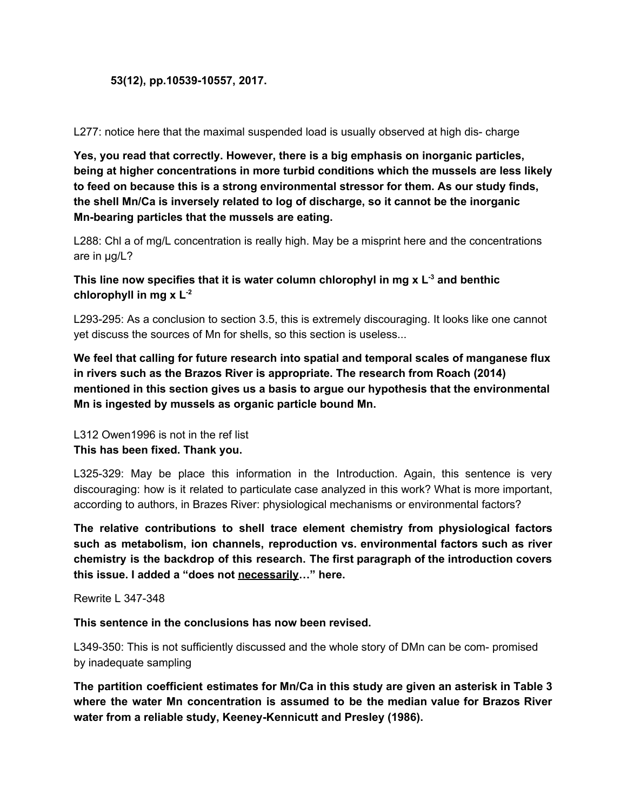#### **53(12), pp.10539-10557, 2017.**

L277: notice here that the maximal suspended load is usually observed at high dis- charge

**Yes, you read that correctly. However, there is a big emphasis on inorganic particles, being at higher concentrations in more turbid conditions which the mussels are less likely to feed on because this is a strong environmental stressor for them. As our study finds, the shell Mn/Ca is inversely related to log of discharge, so it cannot be the inorganic Mn-bearing particles that the mussels are eating.**

L288: Chl a of mg/L concentration is really high. May be a misprint here and the concentrations are in μg/L?

**This line now specifies that it is water column chlorophyl in mg x L -3 and benthic chlorophyll in mg x L -2**

L293-295: As a conclusion to section 3.5, this is extremely discouraging. It looks like one cannot yet discuss the sources of Mn for shells, so this section is useless...

**We feel that calling for future research into spatial and temporal scales of manganese flux in rivers such as the Brazos River is appropriate. The research from Roach (2014) mentioned in this section gives us a basis to argue our hypothesis that the environmental Mn is ingested by mussels as organic particle bound Mn.**

L312 Owen1996 is not in the ref list **This has been fixed. Thank you.**

L325-329: May be place this information in the Introduction. Again, this sentence is very discouraging: how is it related to particulate case analyzed in this work? What is more important, according to authors, in Brazes River: physiological mechanisms or environmental factors?

**The relative contributions to shell trace element chemistry from physiological factors such as metabolism, ion channels, reproduction vs. environmental factors such as river chemistry is the backdrop of this research. The first paragraph of the introduction covers this issue. I added a "does not necessarily…" here.**

Rewrite L 347-348

**This sentence in the conclusions has now been revised.**

L349-350: This is not sufficiently discussed and the whole story of DMn can be com- promised by inadequate sampling

**The partition coefficient estimates for Mn/Ca in this study are given an asterisk in Table 3 where the water Mn concentration is assumed to be the median value for Brazos River water from a reliable study, Keeney-Kennicutt and Presley (1986).**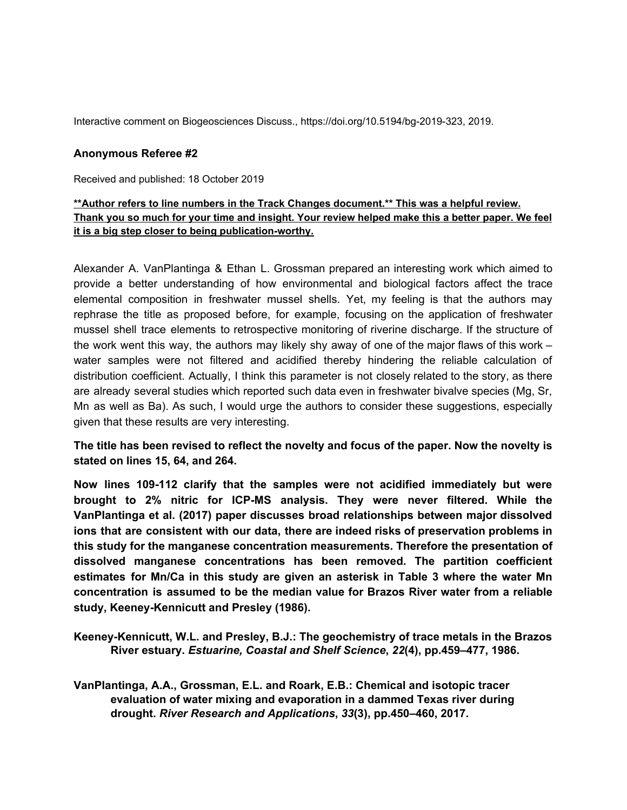Interactive comment on Biogeosciences Discuss., https://doi.org/10.5194/bg-2019-323, 2019.

#### **Anonymous Referee #2**

Received and published: 18 October 2019

### **\*\*Author refers to line numbers in the Track Changes document.\*\* This was a helpful review.** Thank you so much for your time and insight. Your review helped make this a better paper. We feel **it is a big step closer to being publication-worthy.**

Alexander A. VanPlantinga & Ethan L. Grossman prepared an interesting work which aimed to provide a better understanding of how environmental and biological factors affect the trace elemental composition in freshwater mussel shells. Yet, my feeling is that the authors may rephrase the title as proposed before, for example, focusing on the application of freshwater mussel shell trace elements to retrospective monitoring of riverine discharge. If the structure of the work went this way, the authors may likely shy away of one of the major flaws of this work – water samples were not filtered and acidified thereby hindering the reliable calculation of distribution coefficient. Actually, I think this parameter is not closely related to the story, as there are already several studies which reported such data even in freshwater bivalve species (Mg, Sr, Mn as well as Ba). As such, I would urge the authors to consider these suggestions, especially given that these results are very interesting.

### **The title has been revised to reflect the novelty and focus of the paper. Now the novelty is stated on lines 15, 64, and 264.**

**Now lines 109-112 clarify that the samples were not acidified immediately but were brought to 2% nitric for ICP-MS analysis. They were never filtered. While the VanPlantinga et al. (2017) paper discusses broad relationships between major dissolved ions that are consistent with our data, there are indeed risks of preservation problems in this study for the manganese concentration measurements. Therefore the presentation of dissolved manganese concentrations has been removed. The partition coefficient estimates for Mn/Ca in this study are given an asterisk in Table 3 where the water Mn concentration is assumed to be the median value for Brazos River water from a reliable study, Keeney-Kennicutt and Presley (1986).**

**Keeney-Kennicutt, W.L. and Presley, B.J.: The geochemistry of trace metals in the Brazos River estuary.** *Estuarine, Coastal and Shelf Science***,** *22***(4), pp.459–477, 1986.**

**VanPlantinga, A.A., Grossman, E.L. and Roark, E.B.: Chemical and isotopic tracer evaluation of water mixing and evaporation in a dammed Texas river during drought.** *River Research and Applications***,** *33***(3), pp.450–460, 2017.**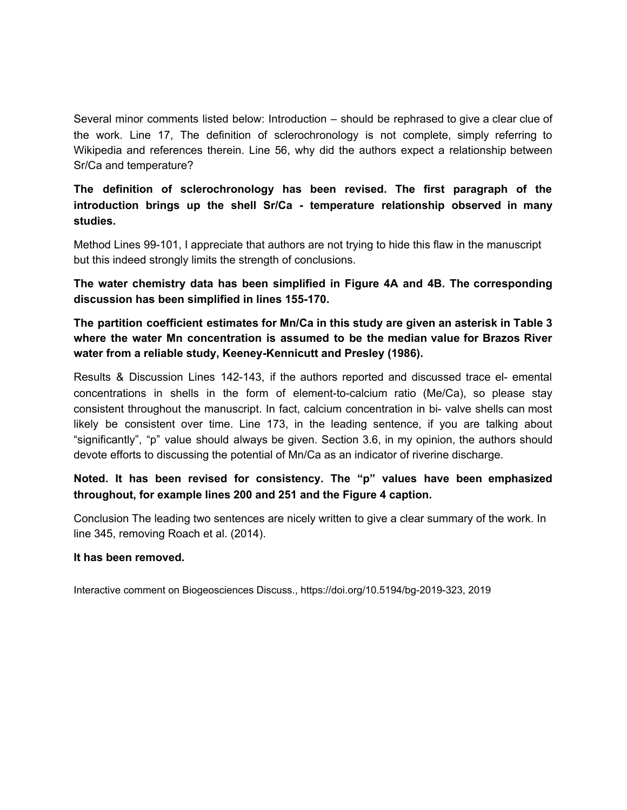Several minor comments listed below: Introduction – should be rephrased to give a clear clue of the work. Line 17, The definition of sclerochronology is not complete, simply referring to Wikipedia and references therein. Line 56, why did the authors expect a relationship between Sr/Ca and temperature?

**The definition of sclerochronology has been revised. The first paragraph of the introduction brings up the shell Sr/Ca - temperature relationship observed in many studies.**

Method Lines 99-101, I appreciate that authors are not trying to hide this flaw in the manuscript but this indeed strongly limits the strength of conclusions.

**The water chemistry data has been simplified in Figure 4A and 4B. The corresponding discussion has been simplified in lines 155-170.**

**The partition coefficient estimates for Mn/Ca in this study are given an asterisk in Table 3 where the water Mn concentration is assumed to be the median value for Brazos River water from a reliable study, Keeney-Kennicutt and Presley (1986).**

Results & Discussion Lines 142-143, if the authors reported and discussed trace el- emental concentrations in shells in the form of element-to-calcium ratio (Me/Ca), so please stay consistent throughout the manuscript. In fact, calcium concentration in bi- valve shells can most likely be consistent over time. Line 173, in the leading sentence, if you are talking about "significantly", "p" value should always be given. Section 3.6, in my opinion, the authors should devote efforts to discussing the potential of Mn/Ca as an indicator of riverine discharge.

# **Noted. It has been revised for consistency. The "p" values have been emphasized throughout, for example lines 200 and 251 and the Figure 4 caption.**

Conclusion The leading two sentences are nicely written to give a clear summary of the work. In line 345, removing Roach et al. (2014).

#### **It has been removed.**

Interactive comment on Biogeosciences Discuss., https://doi.org/10.5194/bg-2019-323, 2019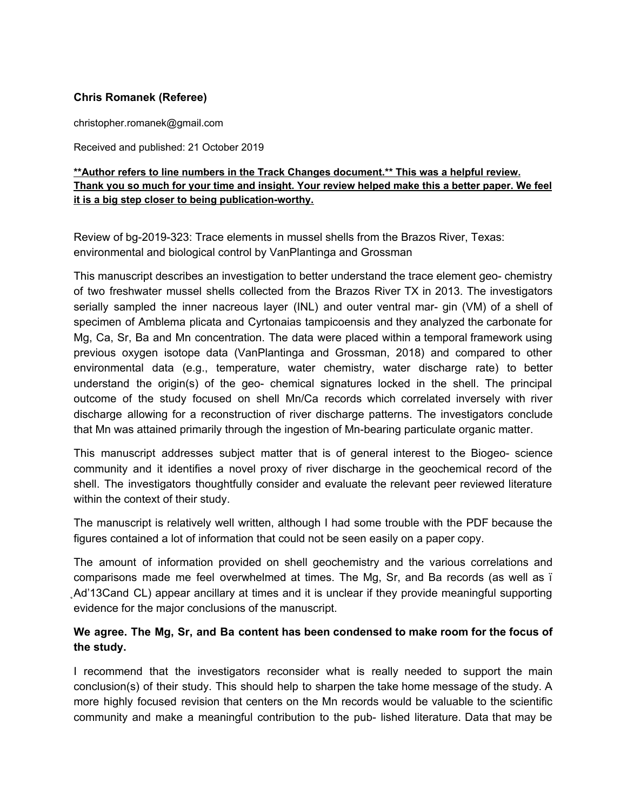### **Chris Romanek (Referee)**

christopher.romanek@gmail.com

Received and published: 21 October 2019

### **\*\*Author refers to line numbers in the Track Changes document.\*\* This was a helpful review.** Thank you so much for your time and insight. Your review helped make this a better paper. We feel **it is a big step closer to being publication-worthy.**

Review of bg-2019-323: Trace elements in mussel shells from the Brazos River, Texas: environmental and biological control by VanPlantinga and Grossman

This manuscript describes an investigation to better understand the trace element geo- chemistry of two freshwater mussel shells collected from the Brazos River TX in 2013. The investigators serially sampled the inner nacreous layer (INL) and outer ventral mar- gin (VM) of a shell of specimen of Amblema plicata and Cyrtonaias tampicoensis and they analyzed the carbonate for Mg, Ca, Sr, Ba and Mn concentration. The data were placed within a temporal framework using previous oxygen isotope data (VanPlantinga and Grossman, 2018) and compared to other environmental data (e.g., temperature, water chemistry, water discharge rate) to better understand the origin(s) of the geo- chemical signatures locked in the shell. The principal outcome of the study focused on shell Mn/Ca records which correlated inversely with river discharge allowing for a reconstruction of river discharge patterns. The investigators conclude that Mn was attained primarily through the ingestion of Mn-bearing particulate organic matter.

This manuscript addresses subject matter that is of general interest to the Biogeo- science community and it identifies a novel proxy of river discharge in the geochemical record of the shell. The investigators thoughtfully consider and evaluate the relevant peer reviewed literature within the context of their study.

The manuscript is relatively well written, although I had some trouble with the PDF because the figures contained a lot of information that could not be seen easily on a paper copy.

The amount of information provided on shell geochemistry and the various correlations and comparisons made me feel overwhelmed at times. The Mg, Sr, and Ba records (as well as ï ̨Ad'13Cand CL) appear ancillary at times and it is unclear if they provide meaningful supporting evidence for the major conclusions of the manuscript.

### **We agree. The Mg, Sr, and Ba content has been condensed to make room for the focus of the study.**

I recommend that the investigators reconsider what is really needed to support the main conclusion(s) of their study. This should help to sharpen the take home message of the study. A more highly focused revision that centers on the Mn records would be valuable to the scientific community and make a meaningful contribution to the pub- lished literature. Data that may be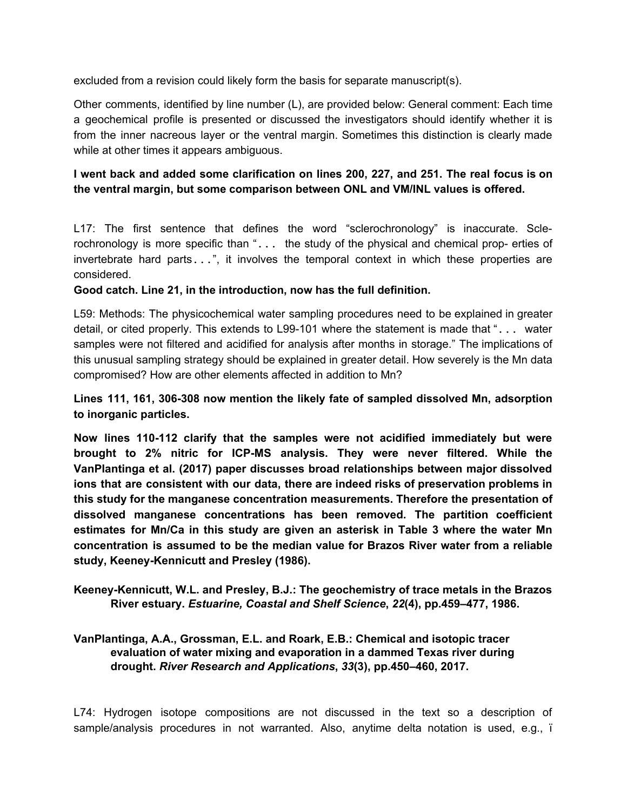excluded from a revision could likely form the basis for separate manuscript(s).

Other comments, identified by line number (L), are provided below: General comment: Each time a geochemical profile is presented or discussed the investigators should identify whether it is from the inner nacreous layer or the ventral margin. Sometimes this distinction is clearly made while at other times it appears ambiguous.

### **I went back and added some clarification on lines 200, 227, and 251. The real focus is on the ventral margin, but some comparison between ONL and VM/INL values is offered.**

L17: The first sentence that defines the word "sclerochronology" is inaccurate. Sclerochronology is more specific than "... the study of the physical and chemical prop- erties of invertebrate hard parts...", it involves the temporal context in which these properties are considered.

**Good catch. Line 21, in the introduction, now has the full definition.**

L59: Methods: The physicochemical water sampling procedures need to be explained in greater detail, or cited properly. This extends to L99-101 where the statement is made that "... water samples were not filtered and acidified for analysis after months in storage." The implications of this unusual sampling strategy should be explained in greater detail. How severely is the Mn data compromised? How are other elements affected in addition to Mn?

### **Lines 111, 161, 306-308 now mention the likely fate of sampled dissolved Mn, adsorption to inorganic particles.**

**Now lines 110-112 clarify that the samples were not acidified immediately but were brought to 2% nitric for ICP-MS analysis. They were never filtered. While the VanPlantinga et al. (2017) paper discusses broad relationships between major dissolved ions that are consistent with our data, there are indeed risks of preservation problems in this study for the manganese concentration measurements. Therefore the presentation of dissolved manganese concentrations has been removed. The partition coefficient estimates for Mn/Ca in this study are given an asterisk in Table 3 where the water Mn concentration is assumed to be the median value for Brazos River water from a reliable study, Keeney-Kennicutt and Presley (1986).**

**Keeney-Kennicutt, W.L. and Presley, B.J.: The geochemistry of trace metals in the Brazos River estuary.** *Estuarine, Coastal and Shelf Science***,** *22***(4), pp.459–477, 1986.**

### **VanPlantinga, A.A., Grossman, E.L. and Roark, E.B.: Chemical and isotopic tracer evaluation of water mixing and evaporation in a dammed Texas river during drought.** *River Research and Applications***,** *33***(3), pp.450–460, 2017.**

L74: Hydrogen isotope compositions are not discussed in the text so a description of sample/analysis procedures in not warranted. Also, anytime delta notation is used, e.g., ï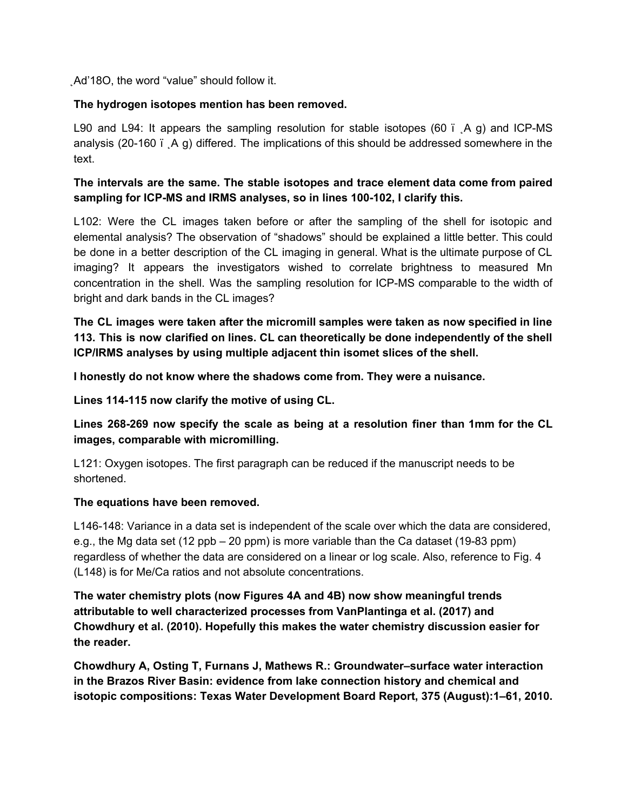̨Ad'18O, the word "value" should follow it.

### **The hydrogen isotopes mention has been removed.**

L90 and L94: It appears the sampling resolution for stable isotopes (60  $\degree$   $\angle$  A g) and ICP-MS analysis (20-160 ï  $\overline{A}$  g) differed. The implications of this should be addressed somewhere in the text.

# **The intervals are the same. The stable isotopes and trace element data come from paired sampling for ICP-MS and IRMS analyses, so in lines 100-102, I clarify this.**

L102: Were the CL images taken before or after the sampling of the shell for isotopic and elemental analysis? The observation of "shadows" should be explained a little better. This could be done in a better description of the CL imaging in general. What is the ultimate purpose of CL imaging? It appears the investigators wished to correlate brightness to measured Mn concentration in the shell. Was the sampling resolution for ICP-MS comparable to the width of bright and dark bands in the CL images?

**The CL images were taken after the micromill samples were taken as now specified in line 113. This is now clarified on lines. CL can theoretically be done independently of the shell ICP/IRMS analyses by using multiple adjacent thin isomet slices of the shell.**

**I honestly do not know where the shadows come from. They were a nuisance.**

**Lines 114-115 now clarify the motive of using CL.**

**Lines 268-269 now specify the scale as being at a resolution finer than 1mm for the CL images, comparable with micromilling.**

L121: Oxygen isotopes. The first paragraph can be reduced if the manuscript needs to be shortened.

#### **The equations have been removed.**

L146-148: Variance in a data set is independent of the scale over which the data are considered, e.g., the Mg data set (12 ppb – 20 ppm) is more variable than the Ca dataset (19-83 ppm) regardless of whether the data are considered on a linear or log scale. Also, reference to Fig. 4 (L148) is for Me/Ca ratios and not absolute concentrations.

**The water chemistry plots (now Figures 4A and 4B) now show meaningful trends attributable to well characterized processes from VanPlantinga et al. (2017) and Chowdhury et al. (2010). Hopefully this makes the water chemistry discussion easier for the reader.**

**Chowdhury A, Osting T, Furnans J, Mathews R.: Groundwater–surface water interaction in the Brazos River Basin: evidence from lake connection history and chemical and isotopic compositions: Texas Water Development Board Report, 375 (August):1–61, 2010.**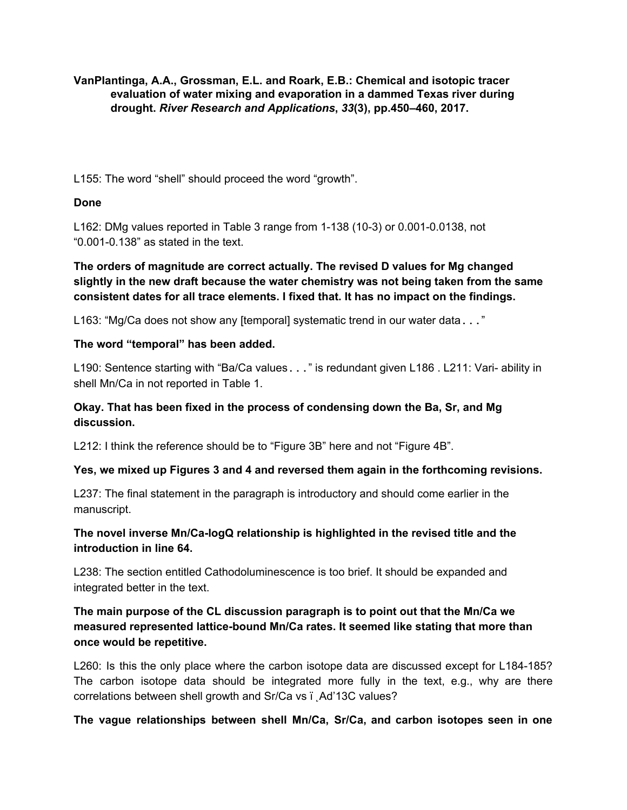**VanPlantinga, A.A., Grossman, E.L. and Roark, E.B.: Chemical and isotopic tracer evaluation of water mixing and evaporation in a dammed Texas river during drought.** *River Research and Applications***,** *33***(3), pp.450–460, 2017.**

L155: The word "shell" should proceed the word "growth".

### **Done**

L162: DMg values reported in Table 3 range from 1-138 (10-3) or 0.001-0.0138, not "0.001-0.138" as stated in the text.

# **The orders of magnitude are correct actually. The revised D values for Mg changed slightly in the new draft because the water chemistry was not being taken from the same consistent dates for all trace elements. I fixed that. It has no impact on the findings.**

L163: "Mg/Ca does not show any [temporal] systematic trend in our water data..."

### **The word "temporal" has been added.**

L190: Sentence starting with "Ba/Ca values..." is redundant given L186. L211: Vari- ability in shell Mn/Ca in not reported in Table 1.

# **Okay. That has been fixed in the process of condensing down the Ba, Sr, and Mg discussion.**

L212: I think the reference should be to "Figure 3B" here and not "Figure 4B".

# **Yes, we mixed up Figures 3 and 4 and reversed them again in the forthcoming revisions.**

L237: The final statement in the paragraph is introductory and should come earlier in the manuscript.

# **The novel inverse Mn/Ca-logQ relationship is highlighted in the revised title and the introduction in line 64.**

L238: The section entitled Cathodoluminescence is too brief. It should be expanded and integrated better in the text.

# **The main purpose of the CL discussion paragraph is to point out that the Mn/Ca we measured represented lattice-bound Mn/Ca rates. It seemed like stating that more than once would be repetitive.**

L260: Is this the only place where the carbon isotope data are discussed except for L184-185? The carbon isotope data should be integrated more fully in the text, e.g., why are there correlations between shell growth and Sr/Ca vs ï Ad'13C values?

# **The vague relationships between shell Mn/Ca, Sr/Ca, and carbon isotopes seen in one**